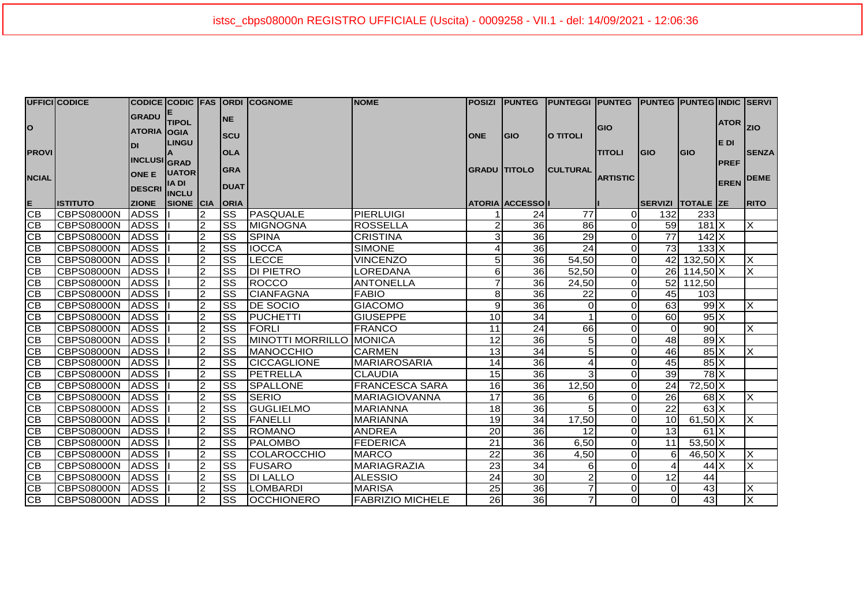|                              | UFFICI CODICE      |                                                                  |                                |                |                                         | CODICE CODIC  FAS  ORDI  COGNOME | <b>NOME</b>             |                     |                         | POSIZI  PUNTEG  PUNTEGGI  PUNTEG  PUNTEG  PUNTEG INDIC  SERVI |                                  |                   |                            |                                     |                             |
|------------------------------|--------------------|------------------------------------------------------------------|--------------------------------|----------------|-----------------------------------------|----------------------------------|-------------------------|---------------------|-------------------------|---------------------------------------------------------------|----------------------------------|-------------------|----------------------------|-------------------------------------|-----------------------------|
| $\circ$                      |                    | GRADU <sup>E</sup><br><b>ATORIA</b> OGIA                         | <b>TIPOL</b>                   |                | <b>NE</b><br><b>SCU</b>                 |                                  |                         | <b>ONE</b>          | <b>GIO</b>              | O TITOLI                                                      | <b>GIO</b>                       |                   |                            | <b>ATOR</b>                         | <b>ZIO</b>                  |
| <b>PROVI</b><br><b>NCIAL</b> |                    | <b>DI</b><br><b>INCLUSI</b> GRAD<br>ONE E UATOR<br><b>DESCRI</b> | <b>LINGU</b><br><b>IA DI</b>   |                | <b>OLA</b><br><b>GRA</b><br><b>DUAT</b> |                                  |                         | <b>GRADU TITOLO</b> |                         | <b>CULTURAL</b>                                               | <b>TITOLI</b><br><b>ARTISTIC</b> | <b>IGIO</b>       | <b>GIO</b>                 | IE DI<br><b>PREF</b><br><b>EREN</b> | <b>SENZA</b><br><b>DEME</b> |
|                              | <b>ISTITUTO</b>    | <b>ZIONE</b>                                                     | <b>INCLU</b><br>SIONE CIA ORIA |                |                                         |                                  |                         |                     | <b>ATORIA ACCESSOII</b> |                                                               |                                  | SERVIZI TOTALE ZE |                            |                                     | <b>RITO</b>                 |
| $rac{E}{CB}$                 | <b>ICBPS08000N</b> | <b>ADSS</b>                                                      |                                | $\overline{2}$ | <b>SS</b>                               | <b>IPASQUALE</b>                 | PIERLUIGI               |                     | 24                      | 77                                                            | οI                               | 132               | 233                        |                                     |                             |
| CB                           | CBPS08000N         | <b>ADSS</b>                                                      |                                | $\overline{2}$ | SS                                      | <b>MIGNOGNA</b>                  | <b>ROSSELLA</b>         |                     | 36                      | 86                                                            | οI                               | 59                | 181X                       |                                     | X                           |
| CB                           | CBPS08000N         | <b>ADSS</b>                                                      |                                | $\overline{2}$ | SS                                      | <b>SPINA</b>                     | <b>CRISTINA</b>         | 3                   | 36                      | 29                                                            | $\Omega$                         | $\overline{77}$   | $142$ $X$                  |                                     |                             |
| CB                           | <b>CBPS08000N</b>  | <b>ADSS</b>                                                      |                                | $\overline{2}$ | <b>SS</b>                               | <b>IOCCA</b>                     | <b>SIMONE</b>           |                     | 36                      | $\overline{24}$                                               | $\Omega$                         | 73                | $133$ $X$                  |                                     |                             |
| $\overline{CB}$              | CBPS08000N         | <b>ADSS</b>                                                      |                                | $\overline{2}$ | <b>SS</b>                               | <b>LECCE</b>                     | <b>VINCENZO</b>         | 5 <sub>l</sub>      | 36                      | 54,50                                                         | Οl                               |                   | 42 132,50 X                |                                     | $\overline{\mathsf{x}}$     |
| CB                           | <b>CBPS08000N</b>  | <b>ADSS</b>                                                      |                                | $\overline{2}$ | <b>SS</b>                               | <b>DI PIETRO</b>                 | <b>LOREDANA</b>         | 6                   | 36                      | 52,50                                                         | οI                               |                   | 26 114,50 X                |                                     | X                           |
| 이연                           | CBPS08000N         | <b>ADSS</b>                                                      |                                | $\overline{c}$ | <b>SS</b>                               | <b>ROCCO</b>                     | <b>ANTONELLA</b>        | 7                   | 36                      | 24,50                                                         | $\overline{0}$                   |                   | $\overline{52}$ 112,50     |                                     |                             |
|                              | CBPS08000N         | <b>ADSS</b>                                                      |                                | $\overline{2}$ | <b>SS</b>                               | <b>CIANFAGNA</b>                 | <b>FABIO</b>            | 8 <sup>1</sup>      | 36                      | 22                                                            | $\Omega$                         | 45                | 103                        |                                     |                             |
| <u> ප ප ප ප</u>              | <b>CBPS08000N</b>  | <b>ADSS</b>                                                      |                                | $\overline{2}$ | lss                                     | <b>DE SOCIO</b>                  | <b>GIACOMO</b>          | 9 <sub>l</sub>      | 36                      | $\overline{O}$                                                | οI                               | 63                | $99$ $\times$              |                                     | X                           |
|                              | CBPS08000N         | <b>ADSS</b>                                                      |                                | $\overline{2}$ | <b>SS</b>                               | PUCHETTI                         | <b>GIUSEPPE</b>         | 10                  | 34                      |                                                               | $\Omega$                         | 60                | $95\text{X}$               |                                     |                             |
|                              | CBPS08000N         | <b>ADSS</b>                                                      |                                | $\overline{c}$ | <b>SS</b>                               | FORLI                            | <b>FRANCO</b>           | 11                  | $\overline{24}$         | 66                                                            | $\Omega$                         | $\Omega$          | $\overline{90}$            |                                     | X                           |
|                              | CBPS08000N         | <b>ADSS</b>                                                      |                                | $\overline{c}$ | SS                                      | MINOTTI MORRILLO MONICA          |                         | 12                  | 36                      | 5                                                             | $\Omega$                         | 48                | $89$ X                     |                                     |                             |
| CB                           | CBPS08000N         | <b>ADSS</b>                                                      |                                | 2              | SS                                      | <b>MANOCCHIO</b>                 | <b>CARMEN</b>           | 13                  | 34                      | 5                                                             | Οl                               | 46                | $85 \overline{X}$          |                                     | X                           |
| $\overline{CB}$              | ICBPS08000N        | <b>ADSS</b>                                                      |                                | $\overline{2}$ | lss                                     | <b>CICCAGLIONE</b>               | <b>MARIAROSARIA</b>     | 14                  | 36                      | 4                                                             | $\Omega$                         | 45                | $85\text{X}$               |                                     |                             |
| CB                           | CBPS08000N         | ADSS                                                             |                                | $\mathfrak{p}$ | <b>SS</b>                               | PETRELLA                         | <b>CLAUDIA</b>          | 15                  | 36                      | 3                                                             | $\Omega$                         | 39                | $78$ $X$                   |                                     |                             |
| CB                           | CBPS08000N         | <b>ADSS</b>                                                      |                                | $\overline{2}$ | <b>SS</b>                               | <b>SPALLONE</b>                  | <b>FRANCESCA SARA</b>   | 16                  | 36                      | 12,50                                                         | Οl                               | 24                | $72,50$ X                  |                                     |                             |
| <u>83</u>                    | CBPS08000N         | <b>ADSS</b>                                                      |                                | $\overline{2}$ | <b>SS</b>                               | <b>SERIO</b>                     | <b>MARIAGIOVANNA</b>    | 17                  | 36                      | 6                                                             | $\Omega$                         | 26                | $68$ $\times$              |                                     | X                           |
|                              | CBPS08000N         | <b>ADSS</b>                                                      |                                | $\overline{2}$ | lss                                     | <b>GUGLIELMO</b>                 | <b>MARIANNA</b>         | 18                  | 36                      | 5                                                             | $\Omega$                         | 22                | $63\overline{\mathrm{X}}$  |                                     |                             |
| <u> 8 8 8</u>                | CBPS08000N         | <b>ADSS</b>                                                      |                                | $\overline{2}$ | Iss                                     | <b>FANELLI</b>                   | <b>MARIANNA</b>         | 19                  | 34                      | 17,50                                                         | Οl                               | 10 <sup>1</sup>   | $61,50$ X                  |                                     | X                           |
|                              | CBPS08000N         | <b>ADSS</b>                                                      |                                | $\overline{2}$ | <b>SS</b>                               | <b>ROMANO</b>                    | <b>ANDREA</b>           | 20                  | 36                      | 12                                                            | $\Omega$                         | 13                | 61X                        |                                     |                             |
|                              | CBPS08000N         | <b>ADSS</b>                                                      |                                | $\overline{c}$ | <b>SS</b>                               | <b>PALOMBO</b>                   | <b>FEDERICA</b>         | 21                  | 36                      | 6,50                                                          | 0I                               | 11                | $53,50$ X                  |                                     |                             |
| CB                           | CBPS08000N         | <b>ADSS</b>                                                      |                                | $\overline{2}$ | <b>SS</b>                               | COLAROCCHIO                      | <b>MARCO</b>            | 22                  | 36                      | 4,50                                                          | 0I                               | $6 \mid$          | $46,50\overline{\text{X}}$ |                                     | X                           |
| $\overline{CB}$              | CBPS08000N         | <b>ADSS</b>                                                      |                                | $\overline{2}$ | SS                                      | <b>FUSARO</b>                    | <b>MARIAGRAZIA</b>      | 23                  | 34                      | 6                                                             | $\Omega$                         | 4                 | $44$ $X$                   |                                     | $\overline{\mathsf{x}}$     |
| CB                           | <b>CBPS08000N</b>  | <b>ADSS</b>                                                      |                                | $\overline{2}$ | lss                                     | <b>DI LALLO</b>                  | <b>ALESSIO</b>          | 24                  | 30                      | $\overline{2}$                                                | <sub>0</sub>                     | 12                | 44                         |                                     |                             |
| CB                           | <b>CBPS08000N</b>  | ADSS                                                             |                                | $\mathfrak{p}$ | $\overline{\text{ss}}$                  | <b>LOMBARDI</b>                  | <b>MARISA</b>           | 25                  | 36                      | $\overline{7}$                                                | <sub>0</sub>                     | $\overline{0}$    | 43                         |                                     | $\overline{\mathsf{x}}$     |
| GВ                           | CBPS08000N         | ADSS                                                             |                                | $\overline{2}$ | <b>SS</b>                               | <b>OCCHIONERO</b>                | <b>FABRIZIO MICHELE</b> | 26                  | 36                      | 7                                                             | Οl                               | $\Omega$          | 43                         |                                     | $\overline{\mathsf{x}}$     |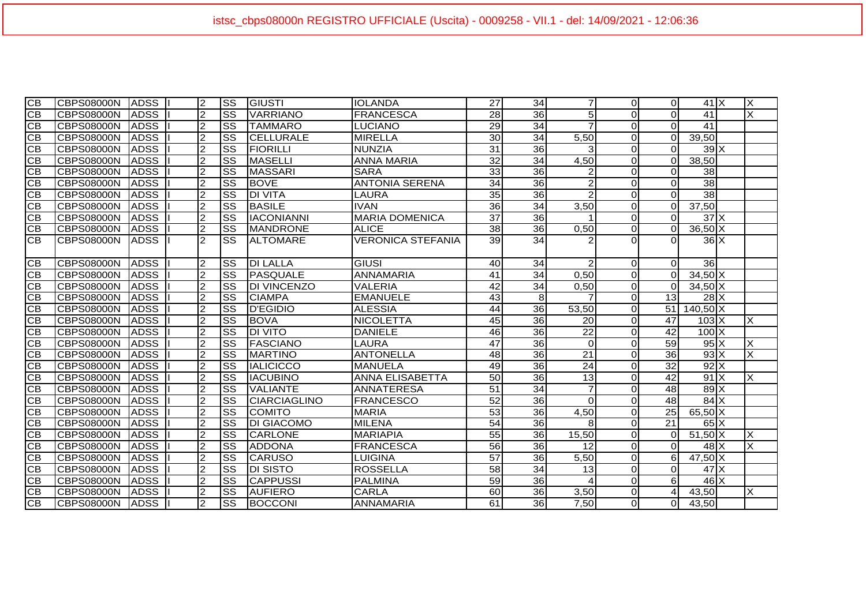| $\overline{CB}$ | CBPS08000N         | <b>ADSS</b>        | <b>2</b>       | lss                    | <b>GIUSTI</b>        | IIOLANDA                 | 27              | 34              | $\overline{7}$  | $\Omega$       | $\Omega$        | $41$ $X$                | X                       |
|-----------------|--------------------|--------------------|----------------|------------------------|----------------------|--------------------------|-----------------|-----------------|-----------------|----------------|-----------------|-------------------------|-------------------------|
| <b>CB</b>       | CBPS08000N         | <b>ADSS</b>        | $\overline{2}$ | lss                    | <b>VARRIANO</b>      | <b>FRANCESCA</b>         | $\overline{28}$ | 36              | 5               | $\overline{0}$ | $\Omega$        | 41                      | X                       |
| CВ              | CBPS08000N         | <b>ADSS</b>        | $\overline{2}$ | <b>SS</b>              | <b>TAMMARO</b>       | <b>LUCIANO</b>           | 29              | $\overline{34}$ | $\overline{7}$  | $\Omega$       | $\overline{0}$  | 41                      |                         |
| <b>CB</b>       | CBPS08000N         | <b>ADSS</b>        | $\overline{2}$ | <b>SS</b>              | <b>CELLURALE</b>     | <b>MIRELLA</b>           | 30              | 34              | 5,50            | $\Omega$       | $\Omega$        | 39,50                   |                         |
| <b>CB</b>       | CBPS08000N         | <b>ADSS</b>        | $\overline{2}$ | $\overline{\text{ss}}$ | <b>FIORILLI</b>      | <b>NUNZIA</b>            | 31              | 36              | 3               | $\overline{0}$ | $\Omega$        | $39 \times$             |                         |
| <b>CB</b>       | CBPS08000N         | <b>ADSS</b>        | $\overline{2}$ | lss                    | <b>MASELLI</b>       | <b>ANNA MARIA</b>        | $\overline{32}$ | 34              | 4,50            | $\overline{0}$ | $\Omega$        | 38,50                   |                         |
| CВ              | ICBPS08000N        | <b>ADSS</b>        | <sup>2</sup>   | $\overline{\text{ss}}$ | <b>MASSARI</b>       | <b>SARA</b>              | 33              | 36              | $\overline{2}$  | $\Omega$       | $\Omega$        | 38                      |                         |
| <b>CB</b>       | CBPS08000N         | <b>ADSS</b>        | 2              | $\overline{\text{ss}}$ | <b>BOVE</b>          | <b>ANTONIA SERENA</b>    | 34              | 36              | $\overline{2}$  | $\Omega$       | $\Omega$        | $\overline{38}$         |                         |
| <b>CB</b>       | CBPS08000N         | <b>ADSS</b>        | 2              | <b>SS</b>              | <b>DI VITA</b>       | <b>LAURA</b>             | 35              | 36              | $\overline{2}$  | $\overline{0}$ | $\overline{0}$  | $\overline{38}$         |                         |
| <b>CB</b>       | CBPS08000N         | <b>ADSS</b>        | $\overline{2}$ | lss                    | <b>BASILE</b>        | <b>IVAN</b>              | 36              | 34              | 3.50            | $\overline{0}$ | $\overline{0}$  | 37,50                   |                         |
| <b>CB</b>       | CBPS08000N         | <b>ADSS</b>        | $\overline{2}$ | $\overline{\text{ss}}$ | <b>IACONIANNI</b>    | <b>MARIA DOMENICA</b>    | $\overline{37}$ | 36              |                 | $\Omega$       | $\Omega$        | $37$ $\times$           |                         |
| <b>CB</b>       | <b>CBPS08000N</b>  | <b>ADSS</b>        | $\overline{2}$ | <b>SS</b>              | <b>MANDRONE</b>      | <b>ALICE</b>             | $\overline{38}$ | 36              | 0,50            | $\Omega$       | $\Omega$        | $36,50$ X               |                         |
| CВ              | CBPS08000N         | <b>ADSS</b>        | $\overline{2}$ | <b>SS</b>              | <b>ALTOMARE</b>      | <b>VERONICA STEFANIA</b> | 39              | 34              |                 | $\Omega$       | $\Omega$        | $36$ $X$                |                         |
| <b>CB</b>       | CBPS08000N         | <b>ADSS</b>        | $\overline{2}$ | <b>SS</b>              | <b>DI LALLA</b>      | <b>GIUSI</b>             | 40              | 34              | $\overline{2}$  | $\overline{0}$ | $\Omega$        | 36                      |                         |
| CВ              | <b>ICBPS08000N</b> | <b>ADSS</b>        | $\overline{2}$ | SS                     | <b>PASQUALE</b>      | <b>ANNAMARIA</b>         | 41              | 34              | 0,50            | $\overline{0}$ | $\Omega$        | $34,50$ X               |                         |
| CВ              | CBPS08000N         | <b>ADSS</b>        | $\overline{2}$ | SS                     | <b>DI VINCENZO</b>   | <b>VALERIA</b>           | 42              | 34              | 0,50            | $\Omega$       | $\Omega$        | $34,50$ X               |                         |
| CВ              | CBPS08000N         | <b>ADSS</b>        | $\overline{2}$ | SS                     | <b>CIAMPA</b>        | <b>EMANUELE</b>          | 43              | 8 <sup>1</sup>  |                 | $\Omega$       | 13              | $28\overline{\text{X}}$ |                         |
| CB              | CBPS08000N         | <b>ADSS</b>        | $\overline{2}$ | SS                     | <b>D'EGIDIO</b>      | <b>ALESSIA</b>           | 44              | 36              | 53,50           | $\Omega$       | 51              | $140,50$ X              |                         |
| СB              | CBPS08000N         | <b>ADSS</b>        | $\overline{2}$ | SS                     | <b>BOVA</b>          | <b>NICOLETTA</b>         | 45              | 36              | 20              | <sub>0</sub>   | 47              | $103\text{X}$           | <b>X</b>                |
| СB              | CBPS08000N         | <b>ADSS</b>        | $\overline{2}$ | SS                     | <b>DI VITO</b>       | <b>DANIELE</b>           | $\overline{46}$ | 36              | $\overline{22}$ | $\overline{O}$ | 42              | $100\overline{X}$       |                         |
| <b>CB</b>       | CBPS08000N         | <b>ADSS</b>        | $\overline{2}$ | SS                     | <b>FASCIANO</b>      | <b>LAURA</b>             | 47              | 36              | $\Omega$        | $\overline{0}$ | 59              | $95\text{X}$            | X                       |
| CВ              | ICBPS08000N        | <b>ADSS</b>        | $\overline{2}$ | <b>SS</b>              | <b>MARTINO</b>       | <b>ANTONELLA</b>         | 48              | 36              | 21              | $\Omega$       | 36              | $93\text{X}$            | $\overline{\mathsf{x}}$ |
| <b>CB</b>       | ICBPS08000N        | <b>ADSS</b>        | <sup>2</sup>   | $\overline{\text{ss}}$ | <b>IALICICCO</b>     | <b>MANUELA</b>           | 49              | 36              | $\overline{24}$ | $\Omega$       | 32              | $92\text{X}$            |                         |
| <b>CB</b>       | CBPS08000N         | <b>ADSS</b>        | 2              | $\overline{\text{ss}}$ | <b>IACUBINO</b>      | <b>ANNA ELISABETTA</b>   | 50              | 36              | 13              | $\Omega$       | 42              | $91$ $X$                | X                       |
| СB              | CBPS08000N         | <b>ADSS</b>        | $\overline{c}$ | <b>SS</b>              | <b>VALIANTE</b>      | <b>ANNATERESA</b>        | 51              | 34              | $\overline{7}$  | $\Omega$       | 48              | $89$ $X$                |                         |
| СB              | CBPS08000N         | <b>ADSS</b>        | 2              | lss                    | <b>ICIARCIAGLINO</b> | <b>FRANCESCO</b>         | 52              | 36              | $\Omega$        | $\Omega$       | 48              | $84$ $X$                |                         |
| <b>CB</b>       | CBPS08000N         | <b>ADSS</b>        | $\overline{2}$ | SS                     | <b>COMITO</b>        | <b>MARIA</b>             | 53              | 36              | 4,50            | $\Omega$       | 25              | 65,50 X                 |                         |
| CВ              | CBPS08000N         | <b>ADSS</b>        | $\overline{2}$ | SS                     | <b>DI GIACOMO</b>    | <b>MILENA</b>            | 54              | 36              | 8               | $\Omega$       | $\overline{21}$ | $65\text{X}$            |                         |
| CВ              | CBPS08000N         | <b>ADSS</b>        | $\overline{2}$ | $\overline{\text{ss}}$ | <b>CARLONE</b>       | <b>MARIAPIA</b>          | 55              | 36              | 15,50           | $\Omega$       | $\overline{0}$  | $51,50$ X               | X                       |
| CB              | CBPS08000N         | <b>ADSS</b>        | $\overline{2}$ | SS                     | <b>ADDONA</b>        | <b>FRANCESCA</b>         | 56              | 36              | 12              | $\Omega$       | $\Omega$        | $48$ $X$                | X                       |
| CB              | CBPS08000N         | <b>ADSS</b>        | <b>2</b>       | $\overline{\text{ss}}$ | <b>CARUSO</b>        | LUIGINA                  | 57              | 36              | 5,50            | $\overline{0}$ | 6               | $47,50$ X               |                         |
| IСB             | CBPS08000N         | <b>ADSS</b>        | $\overline{2}$ | SS                     | <b>DI SISTO</b>      | <b>ROSSELLA</b>          | 58              | 34              | 13              | $\Omega$       | $\Omega$        | $47$ $X$                |                         |
| CВ              | CBPS08000N         | <b>ADSS</b>        | $\overline{2}$ | SS                     | <b>CAPPUSSI</b>      | <b>PALMINA</b>           | 59              | 36l             | 4               | $\Omega$       | 6 <sup>1</sup>  | $46 \overline{X}$       |                         |
| <b>CB</b>       | CBPS08000N         | <b>ADSS</b>        | $\overline{2}$ | SS                     | <b>AUFIERO</b>       | <b>CARLA</b>             | 60              | 36              | 3,50            | $\Omega$       | $\overline{4}$  | 43,50                   | X                       |
| $\overline{CB}$ | <b>CBPS08000N</b>  | ADSS <sup>II</sup> | $\overline{2}$ | <b>SS</b>              | <b>BOCCONI</b>       | ANNAMARIA                | 61              | 36              | 7,50            | $\overline{O}$ | $\Omega$        | 43,50                   |                         |